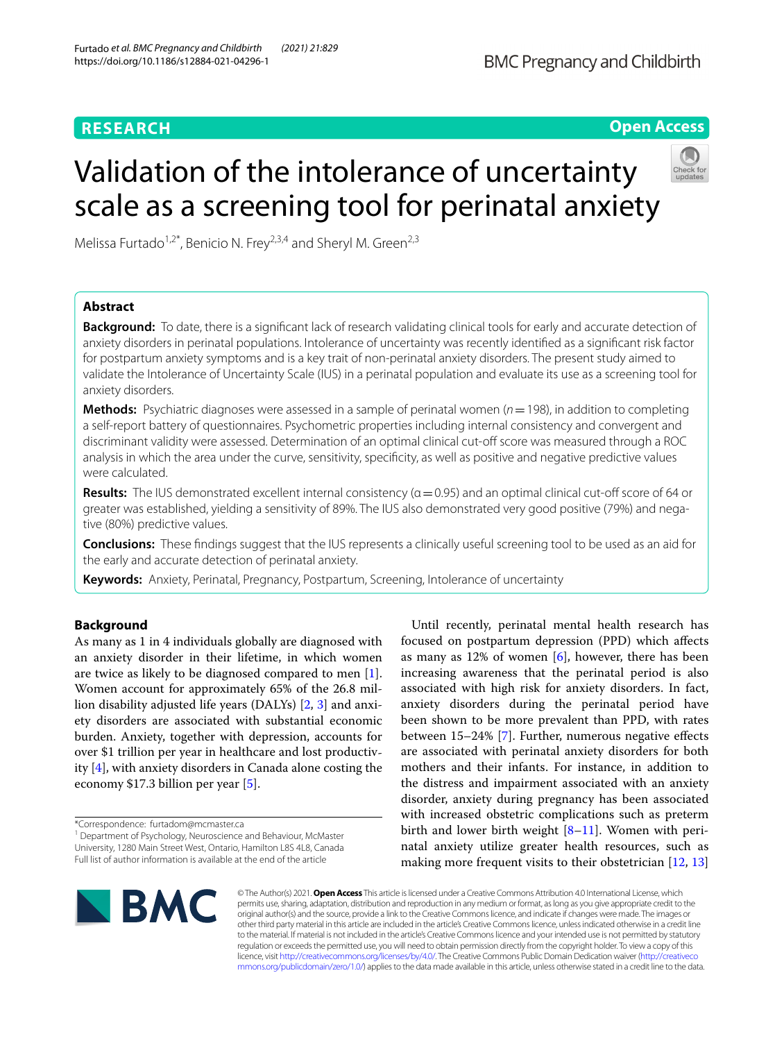# **RESEARCH**

# **Open Access**

# Validation of the intolerance of uncertainty scale as a screening tool for perinatal anxiety

Melissa Furtado<sup>1,2\*</sup>, Benicio N. Frey<sup>2,3,4</sup> and Sheryl M. Green<sup>2,3</sup>

# **Abstract**

**Background:** To date, there is a signifcant lack of research validating clinical tools for early and accurate detection of anxiety disorders in perinatal populations. Intolerance of uncertainty was recently identifed as a signifcant risk factor for postpartum anxiety symptoms and is a key trait of non-perinatal anxiety disorders. The present study aimed to validate the Intolerance of Uncertainty Scale (IUS) in a perinatal population and evaluate its use as a screening tool for anxiety disorders.

**Methods:** Psychiatric diagnoses were assessed in a sample of perinatal women ( $n = 198$ ), in addition to completing a self-report battery of questionnaires. Psychometric properties including internal consistency and convergent and discriminant validity were assessed. Determination of an optimal clinical cut-of score was measured through a ROC analysis in which the area under the curve, sensitivity, specifcity, as well as positive and negative predictive values were calculated.

**Results:** The IUS demonstrated excellent internal consistency (α=0.95) and an optimal clinical cut-off score of 64 or greater was established, yielding a sensitivity of 89%. The IUS also demonstrated very good positive (79%) and negative (80%) predictive values.

**Conclusions:** These fndings suggest that the IUS represents a clinically useful screening tool to be used as an aid for the early and accurate detection of perinatal anxiety.

**Keywords:** Anxiety, Perinatal, Pregnancy, Postpartum, Screening, Intolerance of uncertainty

## **Background**

As many as 1 in 4 individuals globally are diagnosed with an anxiety disorder in their lifetime, in which women are twice as likely to be diagnosed compared to men [\[1](#page-7-0)]. Women account for approximately 65% of the 26.8 million disability adjusted life years (DALYs) [\[2](#page-7-1), [3\]](#page-7-2) and anxiety disorders are associated with substantial economic burden. Anxiety, together with depression, accounts for over \$1 trillion per year in healthcare and lost productivity [\[4](#page-7-3)], with anxiety disorders in Canada alone costing the economy \$17.3 billion per year [[5](#page-7-4)].

Until recently, perinatal mental health research has focused on postpartum depression (PPD) which afects as many as  $12\%$  of women  $[6]$  $[6]$ , however, there has been increasing awareness that the perinatal period is also associated with high risk for anxiety disorders. In fact, anxiety disorders during the perinatal period have been shown to be more prevalent than PPD, with rates between 15–24% [\[7](#page-7-6)]. Further, numerous negative efects are associated with perinatal anxiety disorders for both mothers and their infants. For instance, in addition to the distress and impairment associated with an anxiety disorder, anxiety during pregnancy has been associated with increased obstetric complications such as preterm birth and lower birth weight [\[8](#page-7-7)[–11\]](#page-7-8). Women with perinatal anxiety utilize greater health resources, such as making more frequent visits to their obstetrician [[12,](#page-7-9) [13](#page-7-10)]



© The Author(s) 2021. **Open Access** This article is licensed under a Creative Commons Attribution 4.0 International License, which permits use, sharing, adaptation, distribution and reproduction in any medium or format, as long as you give appropriate credit to the original author(s) and the source, provide a link to the Creative Commons licence, and indicate if changes were made. The images or other third party material in this article are included in the article's Creative Commons licence, unless indicated otherwise in a credit line to the material. If material is not included in the article's Creative Commons licence and your intended use is not permitted by statutory regulation or exceeds the permitted use, you will need to obtain permission directly from the copyright holder. To view a copy of this licence, visit [http://creativecommons.org/licenses/by/4.0/.](http://creativecommons.org/licenses/by/4.0/) The Creative Commons Public Domain Dedication waiver ([http://creativeco](http://creativecommons.org/publicdomain/zero/1.0/) [mmons.org/publicdomain/zero/1.0/](http://creativecommons.org/publicdomain/zero/1.0/)) applies to the data made available in this article, unless otherwise stated in a credit line to the data.

<sup>\*</sup>Correspondence: furtadom@mcmaster.ca

<sup>&</sup>lt;sup>1</sup> Department of Psychology, Neuroscience and Behaviour, McMaster University, 1280 Main Street West, Ontario, Hamilton L8S 4L8, Canada Full list of author information is available at the end of the article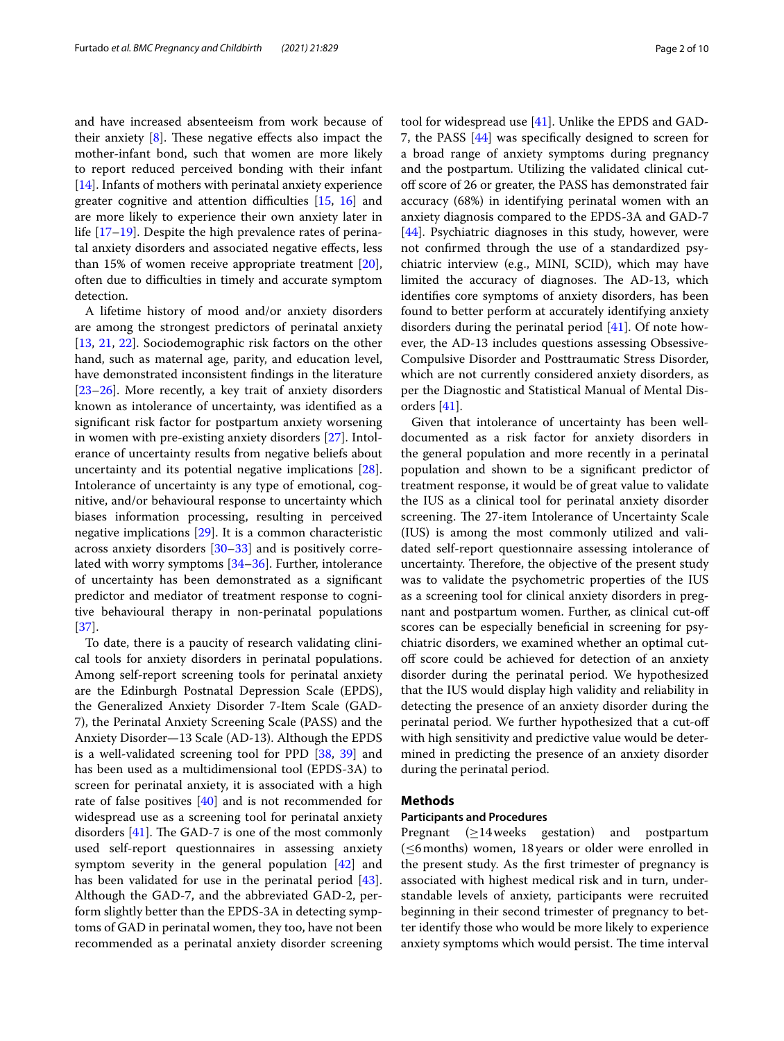and have increased absenteeism from work because of their anxiety  $[8]$  $[8]$ . These negative effects also impact the mother-infant bond, such that women are more likely to report reduced perceived bonding with their infant [[14\]](#page-7-11). Infants of mothers with perinatal anxiety experience greater cognitive and attention difficulties  $[15, 16]$  $[15, 16]$  $[15, 16]$  $[15, 16]$  and are more likely to experience their own anxiety later in life [\[17](#page-7-14)[–19\]](#page-7-15). Despite the high prevalence rates of perinatal anxiety disorders and associated negative efects, less than 15% of women receive appropriate treatment [\[20](#page-7-16)], often due to difficulties in timely and accurate symptom detection.

A lifetime history of mood and/or anxiety disorders are among the strongest predictors of perinatal anxiety [[13,](#page-7-10) [21](#page-7-17), [22](#page-8-0)]. Sociodemographic risk factors on the other hand, such as maternal age, parity, and education level, have demonstrated inconsistent fndings in the literature [[23–](#page-8-1)[26](#page-8-2)]. More recently, a key trait of anxiety disorders known as intolerance of uncertainty, was identifed as a signifcant risk factor for postpartum anxiety worsening in women with pre-existing anxiety disorders [\[27](#page-8-3)]. Intolerance of uncertainty results from negative beliefs about uncertainty and its potential negative implications [\[28](#page-8-4)]. Intolerance of uncertainty is any type of emotional, cognitive, and/or behavioural response to uncertainty which biases information processing, resulting in perceived negative implications [[29](#page-8-5)]. It is a common characteristic across anxiety disorders [[30–](#page-8-6)[33](#page-8-7)] and is positively correlated with worry symptoms [[34–](#page-8-8)[36](#page-8-9)]. Further, intolerance of uncertainty has been demonstrated as a signifcant predictor and mediator of treatment response to cognitive behavioural therapy in non-perinatal populations [[37\]](#page-8-10).

To date, there is a paucity of research validating clinical tools for anxiety disorders in perinatal populations. Among self-report screening tools for perinatal anxiety are the Edinburgh Postnatal Depression Scale (EPDS), the Generalized Anxiety Disorder 7-Item Scale (GAD-7), the Perinatal Anxiety Screening Scale (PASS) and the Anxiety Disorder—13 Scale (AD-13). Although the EPDS is a well-validated screening tool for PPD [\[38,](#page-8-11) [39](#page-8-12)] and has been used as a multidimensional tool (EPDS-3A) to screen for perinatal anxiety, it is associated with a high rate of false positives [[40](#page-8-13)] and is not recommended for widespread use as a screening tool for perinatal anxiety disorders  $[41]$  $[41]$  $[41]$ . The GAD-7 is one of the most commonly used self-report questionnaires in assessing anxiety symptom severity in the general population [\[42\]](#page-8-15) and has been validated for use in the perinatal period [\[43](#page-8-16)]. Although the GAD-7, and the abbreviated GAD-2, perform slightly better than the EPDS-3A in detecting symptoms of GAD in perinatal women, they too, have not been recommended as a perinatal anxiety disorder screening tool for widespread use [\[41](#page-8-14)]. Unlike the EPDS and GAD-7, the PASS [[44\]](#page-8-17) was specifcally designed to screen for a broad range of anxiety symptoms during pregnancy and the postpartum. Utilizing the validated clinical cutof score of 26 or greater, the PASS has demonstrated fair accuracy (68%) in identifying perinatal women with an anxiety diagnosis compared to the EPDS-3A and GAD-7 [[44\]](#page-8-17). Psychiatric diagnoses in this study, however, were not confrmed through the use of a standardized psychiatric interview (e.g., MINI, SCID), which may have limited the accuracy of diagnoses. The AD-13, which identifes core symptoms of anxiety disorders, has been found to better perform at accurately identifying anxiety disorders during the perinatal period [\[41](#page-8-14)]. Of note however, the AD-13 includes questions assessing Obsessive-Compulsive Disorder and Posttraumatic Stress Disorder, which are not currently considered anxiety disorders, as per the Diagnostic and Statistical Manual of Mental Disorders [\[41](#page-8-14)].

Given that intolerance of uncertainty has been welldocumented as a risk factor for anxiety disorders in the general population and more recently in a perinatal population and shown to be a signifcant predictor of treatment response, it would be of great value to validate the IUS as a clinical tool for perinatal anxiety disorder screening. The 27-item Intolerance of Uncertainty Scale (IUS) is among the most commonly utilized and validated self-report questionnaire assessing intolerance of uncertainty. Therefore, the objective of the present study was to validate the psychometric properties of the IUS as a screening tool for clinical anxiety disorders in pregnant and postpartum women. Further, as clinical cut-of scores can be especially beneficial in screening for psychiatric disorders, we examined whether an optimal cutof score could be achieved for detection of an anxiety disorder during the perinatal period. We hypothesized that the IUS would display high validity and reliability in detecting the presence of an anxiety disorder during the perinatal period. We further hypothesized that a cut-of with high sensitivity and predictive value would be determined in predicting the presence of an anxiety disorder during the perinatal period.

#### **Methods**

#### **Participants and Procedures**

Pregnant (≥14weeks gestation) and postpartum (≤6months) women, 18years or older were enrolled in the present study. As the frst trimester of pregnancy is associated with highest medical risk and in turn, understandable levels of anxiety, participants were recruited beginning in their second trimester of pregnancy to better identify those who would be more likely to experience anxiety symptoms which would persist. The time interval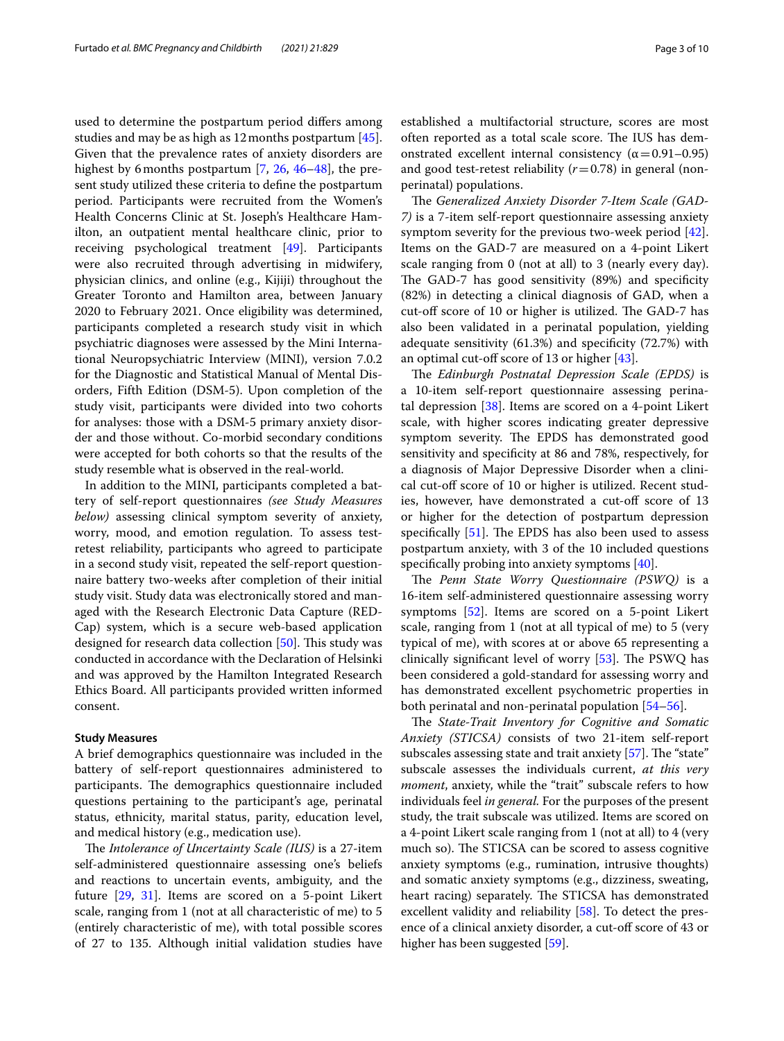used to determine the postpartum period difers among studies and may be as high as 12months postpartum [\[45](#page-8-18)]. Given that the prevalence rates of anxiety disorders are highest by 6 months postpartum [\[7](#page-7-6), [26,](#page-8-2) [46–](#page-8-19)[48\]](#page-8-20), the present study utilized these criteria to defne the postpartum period. Participants were recruited from the Women's Health Concerns Clinic at St. Joseph's Healthcare Hamilton, an outpatient mental healthcare clinic, prior to receiving psychological treatment [[49\]](#page-8-21). Participants were also recruited through advertising in midwifery, physician clinics, and online (e.g., Kijiji) throughout the Greater Toronto and Hamilton area, between January 2020 to February 2021. Once eligibility was determined, participants completed a research study visit in which psychiatric diagnoses were assessed by the Mini International Neuropsychiatric Interview (MINI), version 7.0.2 for the Diagnostic and Statistical Manual of Mental Disorders, Fifth Edition (DSM-5). Upon completion of the study visit, participants were divided into two cohorts for analyses: those with a DSM-5 primary anxiety disorder and those without. Co-morbid secondary conditions were accepted for both cohorts so that the results of the study resemble what is observed in the real-world.

In addition to the MINI, participants completed a battery of self-report questionnaires *(see Study Measures below)* assessing clinical symptom severity of anxiety, worry, mood, and emotion regulation. To assess testretest reliability, participants who agreed to participate in a second study visit, repeated the self-report questionnaire battery two-weeks after completion of their initial study visit. Study data was electronically stored and managed with the Research Electronic Data Capture (RED-Cap) system, which is a secure web-based application designed for research data collection [[50\]](#page-8-22). This study was conducted in accordance with the Declaration of Helsinki and was approved by the Hamilton Integrated Research Ethics Board. All participants provided written informed consent.

#### **Study Measures**

A brief demographics questionnaire was included in the battery of self-report questionnaires administered to participants. The demographics questionnaire included questions pertaining to the participant's age, perinatal status, ethnicity, marital status, parity, education level, and medical history (e.g., medication use).

The *Intolerance of Uncertainty Scale (IUS)* is a 27-item self-administered questionnaire assessing one's beliefs and reactions to uncertain events, ambiguity, and the future [\[29,](#page-8-5) [31](#page-8-23)]. Items are scored on a 5-point Likert scale, ranging from 1 (not at all characteristic of me) to 5 (entirely characteristic of me), with total possible scores of 27 to 135. Although initial validation studies have established a multifactorial structure, scores are most often reported as a total scale score. The IUS has demonstrated excellent internal consistency ( $\alpha$  = 0.91–0.95) and good test-retest reliability  $(r=0.78)$  in general (nonperinatal) populations.

The *Generalized Anxiety Disorder 7-Item Scale* (GAD-*7)* is a 7-item self-report questionnaire assessing anxiety symptom severity for the previous two-week period [\[42](#page-8-15)]. Items on the GAD-7 are measured on a 4-point Likert scale ranging from 0 (not at all) to 3 (nearly every day). The GAD-7 has good sensitivity (89%) and specificity (82%) in detecting a clinical diagnosis of GAD, when a cut-off score of 10 or higher is utilized. The GAD-7 has also been validated in a perinatal population, yielding adequate sensitivity (61.3%) and specifcity (72.7%) with an optimal cut-of score of 13 or higher [[43\]](#page-8-16).

The *Edinburgh Postnatal Depression Scale (EPDS)* is a 10-item self-report questionnaire assessing perinatal depression [[38\]](#page-8-11). Items are scored on a 4-point Likert scale, with higher scores indicating greater depressive symptom severity. The EPDS has demonstrated good sensitivity and specifcity at 86 and 78%, respectively, for a diagnosis of Major Depressive Disorder when a clinical cut-of score of 10 or higher is utilized. Recent studies, however, have demonstrated a cut-off score of 13 or higher for the detection of postpartum depression specifically  $[51]$  $[51]$ . The EPDS has also been used to assess postpartum anxiety, with 3 of the 10 included questions specifcally probing into anxiety symptoms [[40](#page-8-13)].

The Penn State Worry Questionnaire (PSWQ) is a 16-item self-administered questionnaire assessing worry symptoms [\[52](#page-8-25)]. Items are scored on a 5-point Likert scale, ranging from 1 (not at all typical of me) to 5 (very typical of me), with scores at or above 65 representing a clinically significant level of worry  $[53]$  $[53]$ . The PSWQ has been considered a gold-standard for assessing worry and has demonstrated excellent psychometric properties in both perinatal and non-perinatal population [\[54–](#page-8-27)[56\]](#page-8-28).

The *State-Trait Inventory for Cognitive and Somatic Anxiety (STICSA)* consists of two 21-item self-report subscales assessing state and trait anxiety  $[57]$  $[57]$  $[57]$ . The "state" subscale assesses the individuals current, *at this very moment*, anxiety, while the "trait" subscale refers to how individuals feel *in general.* For the purposes of the present study, the trait subscale was utilized. Items are scored on a 4-point Likert scale ranging from 1 (not at all) to 4 (very much so). The STICSA can be scored to assess cognitive anxiety symptoms (e.g., rumination, intrusive thoughts) and somatic anxiety symptoms (e.g., dizziness, sweating, heart racing) separately. The STICSA has demonstrated excellent validity and reliability [\[58](#page-8-30)]. To detect the presence of a clinical anxiety disorder, a cut-off score of 43 or higher has been suggested [[59\]](#page-9-0).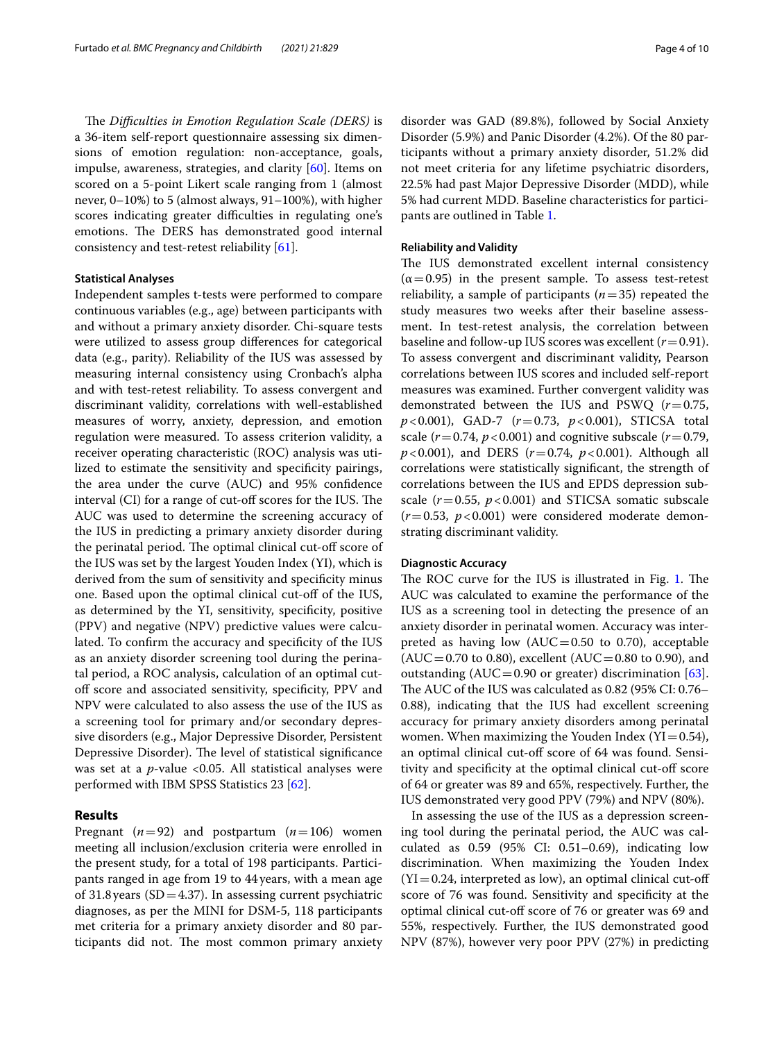The *Difficulties in Emotion Regulation Scale (DERS)* is a 36-item self-report questionnaire assessing six dimensions of emotion regulation: non-acceptance, goals, impulse, awareness, strategies, and clarity [[60\]](#page-9-1). Items on scored on a 5-point Likert scale ranging from 1 (almost never, 0–10%) to 5 (almost always, 91–100%), with higher scores indicating greater difficulties in regulating one's emotions. The DERS has demonstrated good internal consistency and test-retest reliability [\[61](#page-9-2)].

#### **Statistical Analyses**

Independent samples t-tests were performed to compare continuous variables (e.g., age) between participants with and without a primary anxiety disorder. Chi-square tests were utilized to assess group diferences for categorical data (e.g., parity). Reliability of the IUS was assessed by measuring internal consistency using Cronbach's alpha and with test-retest reliability. To assess convergent and discriminant validity, correlations with well-established measures of worry, anxiety, depression, and emotion regulation were measured. To assess criterion validity, a receiver operating characteristic (ROC) analysis was utilized to estimate the sensitivity and specifcity pairings, the area under the curve (AUC) and 95% confdence interval (CI) for a range of cut-off scores for the IUS. The AUC was used to determine the screening accuracy of the IUS in predicting a primary anxiety disorder during the perinatal period. The optimal clinical cut-off score of the IUS was set by the largest Youden Index (YI), which is derived from the sum of sensitivity and specifcity minus one. Based upon the optimal clinical cut-of of the IUS, as determined by the YI, sensitivity, specifcity, positive (PPV) and negative (NPV) predictive values were calculated. To confrm the accuracy and specifcity of the IUS as an anxiety disorder screening tool during the perinatal period, a ROC analysis, calculation of an optimal cutoff score and associated sensitivity, specificity, PPV and NPV were calculated to also assess the use of the IUS as a screening tool for primary and/or secondary depressive disorders (e.g., Major Depressive Disorder, Persistent Depressive Disorder). The level of statistical significance was set at a *p*-value <0.05. All statistical analyses were performed with IBM SPSS Statistics 23 [\[62\]](#page-9-3).

#### **Results**

Pregnant  $(n=92)$  and postpartum  $(n=106)$  women meeting all inclusion/exclusion criteria were enrolled in the present study, for a total of 198 participants. Participants ranged in age from 19 to 44years, with a mean age of 31.8 years ( $SD = 4.37$ ). In assessing current psychiatric diagnoses, as per the MINI for DSM-5, 118 participants met criteria for a primary anxiety disorder and 80 participants did not. The most common primary anxiety disorder was GAD (89.8%), followed by Social Anxiety Disorder (5.9%) and Panic Disorder (4.2%). Of the 80 participants without a primary anxiety disorder, 51.2% did not meet criteria for any lifetime psychiatric disorders, 22.5% had past Major Depressive Disorder (MDD), while 5% had current MDD. Baseline characteristics for participants are outlined in Table [1.](#page-4-0)

#### **Reliability and Validity**

The IUS demonstrated excellent internal consistency  $(\alpha=0.95)$  in the present sample. To assess test-retest reliability, a sample of participants  $(n=35)$  repeated the study measures two weeks after their baseline assessment. In test-retest analysis, the correlation between baseline and follow-up IUS scores was excellent  $(r=0.91)$ . To assess convergent and discriminant validity, Pearson correlations between IUS scores and included self-report measures was examined. Further convergent validity was demonstrated between the IUS and PSWQ (*r*=0.75, *p*<0.001), GAD-7 (*r*=0.73, *p*<0.001), STICSA total scale ( $r = 0.74$ ,  $p < 0.001$ ) and cognitive subscale ( $r = 0.79$ ,  $p$  < 0.001), and DERS ( $r = 0.74$ ,  $p$  < 0.001). Although all correlations were statistically signifcant, the strength of correlations between the IUS and EPDS depression subscale  $(r=0.55, p<0.001)$  and STICSA somatic subscale  $(r=0.53, p<0.001)$  were considered moderate demonstrating discriminant validity.

#### **Diagnostic Accuracy**

The ROC curve for the IUS is illustrated in Fig. [1](#page-5-0). The AUC was calculated to examine the performance of the IUS as a screening tool in detecting the presence of an anxiety disorder in perinatal women. Accuracy was interpreted as having low  $(AUC=0.50$  to 0.70), acceptable  $(AUC = 0.70$  to 0.80), excellent  $(AUC = 0.80$  to 0.90), and outstanding (AUC=0.90 or greater) discrimination  $[63]$  $[63]$ . The AUC of the IUS was calculated as  $0.82$  (95% CI:  $0.76-$ 0.88), indicating that the IUS had excellent screening accuracy for primary anxiety disorders among perinatal women. When maximizing the Youden Index  $(YI=0.54)$ , an optimal clinical cut-of score of 64 was found. Sensitivity and specifcity at the optimal clinical cut-of score of 64 or greater was 89 and 65%, respectively. Further, the IUS demonstrated very good PPV (79%) and NPV (80%).

In assessing the use of the IUS as a depression screening tool during the perinatal period, the AUC was calculated as 0.59 (95% CI: 0.51–0.69), indicating low discrimination. When maximizing the Youden Index  $(YI=0.24$ , interpreted as low), an optimal clinical cut-off score of 76 was found. Sensitivity and specifcity at the optimal clinical cut-of score of 76 or greater was 69 and 55%, respectively. Further, the IUS demonstrated good NPV (87%), however very poor PPV (27%) in predicting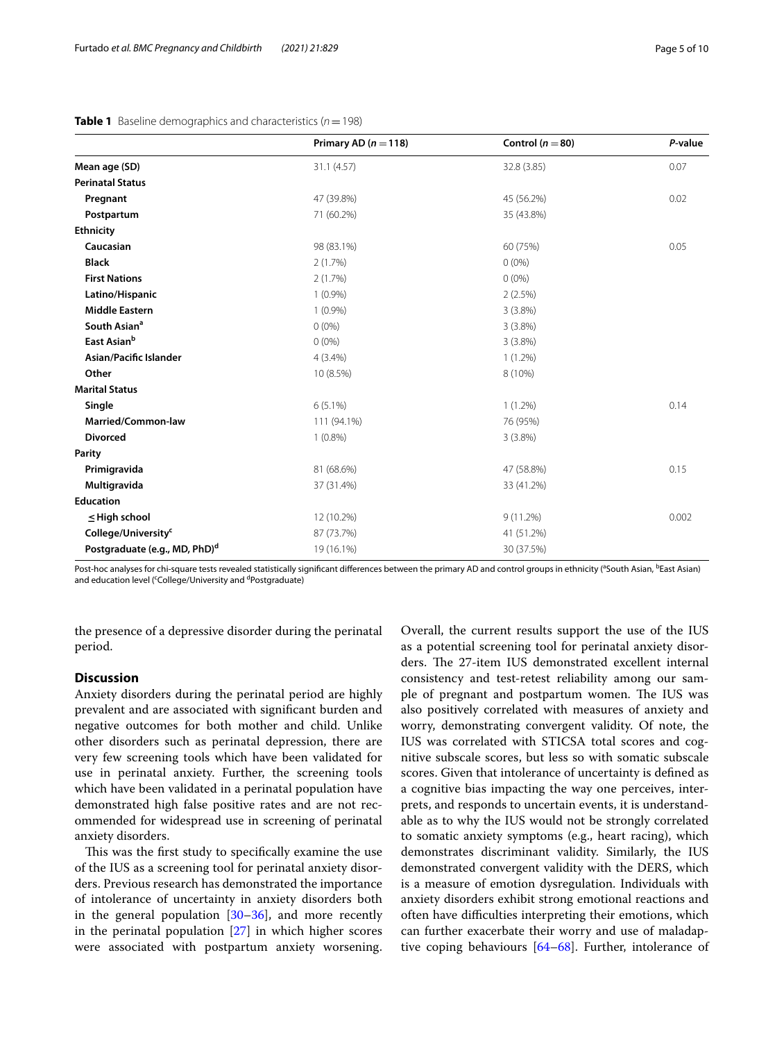|                                           | Primary AD ( $n = 118$ ) | Control ( $n = 80$ ) | P-value |
|-------------------------------------------|--------------------------|----------------------|---------|
| Mean age (SD)                             | 31.1(4.57)               | 32.8 (3.85)          | 0.07    |
| <b>Perinatal Status</b>                   |                          |                      |         |
| Pregnant                                  | 47 (39.8%)               | 45 (56.2%)           | 0.02    |
| Postpartum                                | 71 (60.2%)               | 35 (43.8%)           |         |
| <b>Ethnicity</b>                          |                          |                      |         |
| Caucasian                                 | 98 (83.1%)               | 60 (75%)             | 0.05    |
| <b>Black</b>                              | 2(1.7%)                  | $0(0\%)$             |         |
| <b>First Nations</b>                      | 2(1.7%)                  | $0(0\%)$             |         |
| Latino/Hispanic                           | $1(0.9\%)$               | 2(2.5%)              |         |
| <b>Middle Eastern</b>                     | $1(0.9\%)$               | $3(3.8\%)$           |         |
| South Asian <sup>a</sup>                  | $0(0\%)$                 | 3(3.8%)              |         |
| East Asian <sup>b</sup>                   | $0(0\%)$                 | 3(3.8%)              |         |
| Asian/Pacific Islander                    | $4(3.4\%)$               | $1(1.2\%)$           |         |
| Other                                     | 10 (8.5%)                | 8 (10%)              |         |
| <b>Marital Status</b>                     |                          |                      |         |
| Single                                    | $6(5.1\%)$               | $1(1.2\%)$           | 0.14    |
| Married/Common-law                        | 111 (94.1%)              | 76 (95%)             |         |
| <b>Divorced</b>                           | $1(0.8\%)$               | 3(3.8%)              |         |
| Parity                                    |                          |                      |         |
| Primigravida                              | 81 (68.6%)               | 47 (58.8%)           | 0.15    |
| Multigravida                              | 37 (31.4%)               | 33 (41.2%)           |         |
| <b>Education</b>                          |                          |                      |         |
| $\leq$ High school                        | 12 (10.2%)               | 9(11.2%)             | 0.002   |
| College/University <sup>c</sup>           | 87 (73.7%)               | 41 (51.2%)           |         |
| Postgraduate (e.g., MD, PhD) <sup>d</sup> | 19 (16.1%)               | 30 (37.5%)           |         |

#### <span id="page-4-0"></span>**Table 1** Baseline demographics and characteristics ( $n = 198$ )

Post-hoc analyses for chi-square tests revealed statistically significant differences between the primary AD and control groups in ethnicity (<sup>a</sup>South Asian, <sup>b</sup>East Asian) and education level (<sup>c</sup>College/University and <sup>d</sup>Postgraduate)

the presence of a depressive disorder during the perinatal period.

#### **Discussion**

Anxiety disorders during the perinatal period are highly prevalent and are associated with signifcant burden and negative outcomes for both mother and child. Unlike other disorders such as perinatal depression, there are very few screening tools which have been validated for use in perinatal anxiety. Further, the screening tools which have been validated in a perinatal population have demonstrated high false positive rates and are not recommended for widespread use in screening of perinatal anxiety disorders.

This was the first study to specifically examine the use of the IUS as a screening tool for perinatal anxiety disorders. Previous research has demonstrated the importance of intolerance of uncertainty in anxiety disorders both in the general population [\[30](#page-8-6)[–36\]](#page-8-9), and more recently in the perinatal population [\[27](#page-8-3)] in which higher scores were associated with postpartum anxiety worsening.

Overall, the current results support the use of the IUS as a potential screening tool for perinatal anxiety disorders. The 27-item IUS demonstrated excellent internal consistency and test-retest reliability among our sample of pregnant and postpartum women. The IUS was also positively correlated with measures of anxiety and worry, demonstrating convergent validity. Of note, the IUS was correlated with STICSA total scores and cognitive subscale scores, but less so with somatic subscale scores. Given that intolerance of uncertainty is defned as a cognitive bias impacting the way one perceives, interprets, and responds to uncertain events, it is understandable as to why the IUS would not be strongly correlated to somatic anxiety symptoms (e.g., heart racing), which demonstrates discriminant validity. Similarly, the IUS demonstrated convergent validity with the DERS, which is a measure of emotion dysregulation. Individuals with anxiety disorders exhibit strong emotional reactions and often have difculties interpreting their emotions, which can further exacerbate their worry and use of maladaptive coping behaviours [\[64–](#page-9-5)[68\]](#page-9-6). Further, intolerance of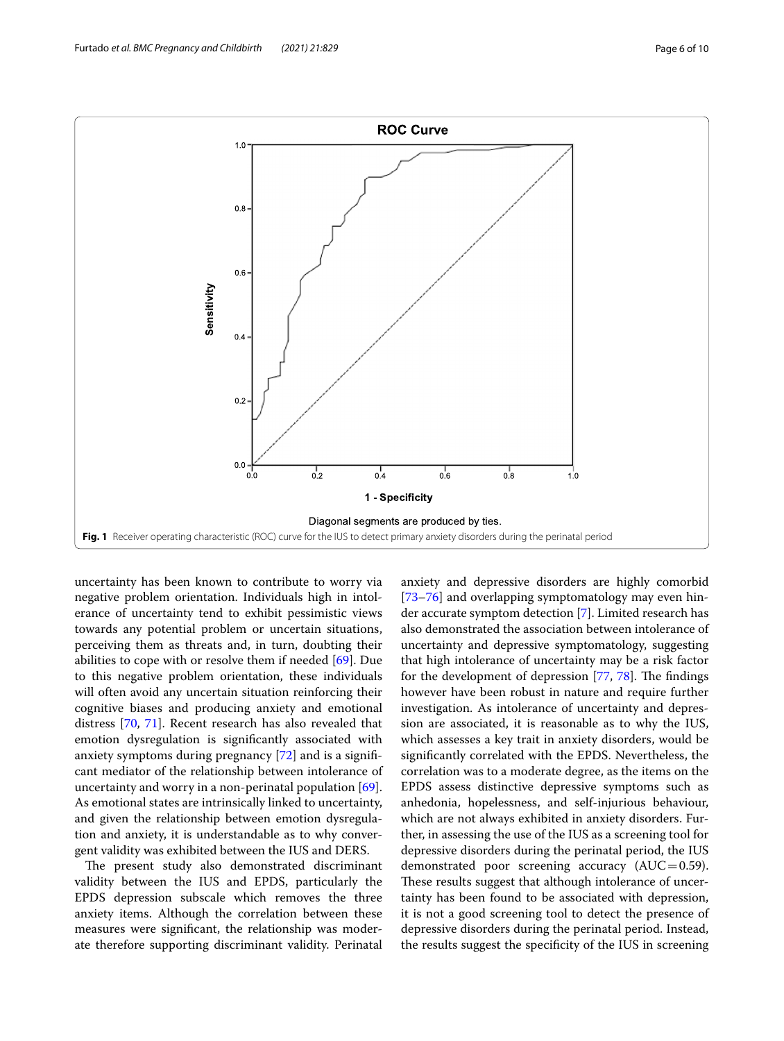

<span id="page-5-0"></span>uncertainty has been known to contribute to worry via negative problem orientation. Individuals high in intolerance of uncertainty tend to exhibit pessimistic views towards any potential problem or uncertain situations, perceiving them as threats and, in turn, doubting their abilities to cope with or resolve them if needed [[69](#page-9-7)]. Due to this negative problem orientation, these individuals will often avoid any uncertain situation reinforcing their cognitive biases and producing anxiety and emotional distress [\[70](#page-9-8), [71](#page-9-9)]. Recent research has also revealed that emotion dysregulation is signifcantly associated with anxiety symptoms during pregnancy [\[72](#page-9-10)] and is a signifcant mediator of the relationship between intolerance of uncertainty and worry in a non-perinatal population [\[69](#page-9-7)]. As emotional states are intrinsically linked to uncertainty, and given the relationship between emotion dysregulation and anxiety, it is understandable as to why convergent validity was exhibited between the IUS and DERS.

The present study also demonstrated discriminant validity between the IUS and EPDS, particularly the EPDS depression subscale which removes the three anxiety items. Although the correlation between these measures were signifcant, the relationship was moderate therefore supporting discriminant validity. Perinatal anxiety and depressive disorders are highly comorbid [[73–](#page-9-11)[76\]](#page-9-12) and overlapping symptomatology may even hinder accurate symptom detection [\[7](#page-7-6)]. Limited research has also demonstrated the association between intolerance of uncertainty and depressive symptomatology, suggesting that high intolerance of uncertainty may be a risk factor for the development of depression  $[77, 78]$  $[77, 78]$  $[77, 78]$  $[77, 78]$ . The findings however have been robust in nature and require further investigation. As intolerance of uncertainty and depression are associated, it is reasonable as to why the IUS, which assesses a key trait in anxiety disorders, would be signifcantly correlated with the EPDS. Nevertheless, the correlation was to a moderate degree, as the items on the EPDS assess distinctive depressive symptoms such as anhedonia, hopelessness, and self-injurious behaviour, which are not always exhibited in anxiety disorders. Further, in assessing the use of the IUS as a screening tool for depressive disorders during the perinatal period, the IUS demonstrated poor screening accuracy  $(AUC=0.59)$ . These results suggest that although intolerance of uncertainty has been found to be associated with depression, it is not a good screening tool to detect the presence of depressive disorders during the perinatal period. Instead, the results suggest the specifcity of the IUS in screening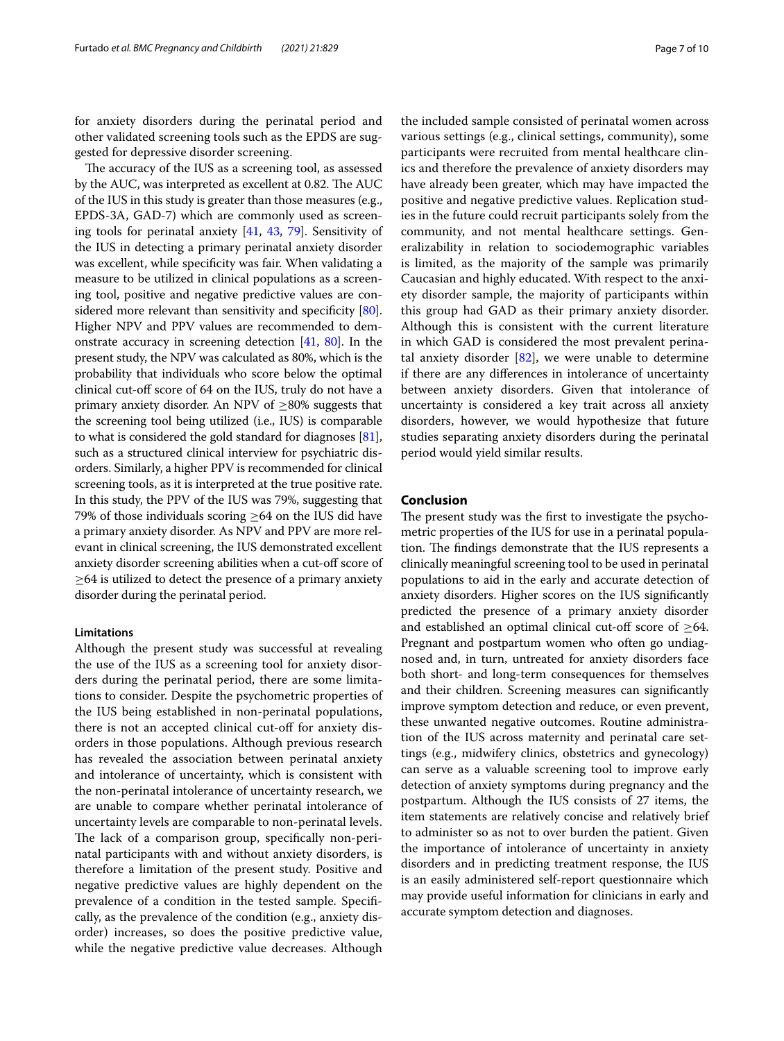for anxiety disorders during the perinatal period and other validated screening tools such as the EPDS are suggested for depressive disorder screening.

The accuracy of the IUS as a screening tool, as assessed by the AUC, was interpreted as excellent at 0.82. The AUC of the IUS in this study is greater than those measures (e.g., EPDS-3A, GAD-7) which are commonly used as screening tools for perinatal anxiety [\[41,](#page-8-14) [43,](#page-8-16) [79](#page-9-15)]. Sensitivity of the IUS in detecting a primary perinatal anxiety disorder was excellent, while specificity was fair. When validating a measure to be utilized in clinical populations as a screening tool, positive and negative predictive values are considered more relevant than sensitivity and specificity  $[80]$  $[80]$  $[80]$ . Higher NPV and PPV values are recommended to demonstrate accuracy in screening detection [\[41,](#page-8-14) [80](#page-9-16)]. In the present study, the NPV was calculated as 80%, which is the probability that individuals who score below the optimal clinical cut-of score of 64 on the IUS, truly do not have a primary anxiety disorder. An NPV of  $\geq$ 80% suggests that the screening tool being utilized (i.e., IUS) is comparable to what is considered the gold standard for diagnoses [[81](#page-9-17)], such as a structured clinical interview for psychiatric disorders. Similarly, a higher PPV is recommended for clinical screening tools, as it is interpreted at the true positive rate. In this study, the PPV of the IUS was 79%, suggesting that 79% of those individuals scoring  $\geq$ 64 on the IUS did have a primary anxiety disorder. As NPV and PPV are more relevant in clinical screening, the IUS demonstrated excellent anxiety disorder screening abilities when a cut-of score of  $\geq$ 64 is utilized to detect the presence of a primary anxiety disorder during the perinatal period.

#### **Limitations**

Although the present study was successful at revealing the use of the IUS as a screening tool for anxiety disorders during the perinatal period, there are some limitations to consider. Despite the psychometric properties of the IUS being established in non-perinatal populations, there is not an accepted clinical cut-off for anxiety disorders in those populations. Although previous research has revealed the association between perinatal anxiety and intolerance of uncertainty, which is consistent with the non-perinatal intolerance of uncertainty research, we are unable to compare whether perinatal intolerance of uncertainty levels are comparable to non-perinatal levels. The lack of a comparison group, specifically non-perinatal participants with and without anxiety disorders, is therefore a limitation of the present study. Positive and negative predictive values are highly dependent on the prevalence of a condition in the tested sample. Specifcally, as the prevalence of the condition (e.g., anxiety disorder) increases, so does the positive predictive value, while the negative predictive value decreases. Although

the included sample consisted of perinatal women across various settings (e.g., clinical settings, community), some participants were recruited from mental healthcare clinics and therefore the prevalence of anxiety disorders may have already been greater, which may have impacted the positive and negative predictive values. Replication studies in the future could recruit participants solely from the community, and not mental healthcare settings. Generalizability in relation to sociodemographic variables is limited, as the majority of the sample was primarily Caucasian and highly educated. With respect to the anxiety disorder sample, the majority of participants within this group had GAD as their primary anxiety disorder. Although this is consistent with the current literature in which GAD is considered the most prevalent perinatal anxiety disorder  $[82]$  $[82]$ , we were unable to determine if there are any diferences in intolerance of uncertainty between anxiety disorders. Given that intolerance of uncertainty is considered a key trait across all anxiety disorders, however, we would hypothesize that future studies separating anxiety disorders during the perinatal period would yield similar results.

### **Conclusion**

The present study was the first to investigate the psychometric properties of the IUS for use in a perinatal population. The findings demonstrate that the IUS represents a clinically meaningful screening tool to be used in perinatal populations to aid in the early and accurate detection of anxiety disorders. Higher scores on the IUS signifcantly predicted the presence of a primary anxiety disorder and established an optimal clinical cut-off score of  $\geq 64$ . Pregnant and postpartum women who often go undiagnosed and, in turn, untreated for anxiety disorders face both short- and long-term consequences for themselves and their children. Screening measures can signifcantly improve symptom detection and reduce, or even prevent, these unwanted negative outcomes. Routine administration of the IUS across maternity and perinatal care settings (e.g., midwifery clinics, obstetrics and gynecology) can serve as a valuable screening tool to improve early detection of anxiety symptoms during pregnancy and the postpartum. Although the IUS consists of 27 items, the item statements are relatively concise and relatively brief to administer so as not to over burden the patient. Given the importance of intolerance of uncertainty in anxiety disorders and in predicting treatment response, the IUS is an easily administered self-report questionnaire which may provide useful information for clinicians in early and accurate symptom detection and diagnoses.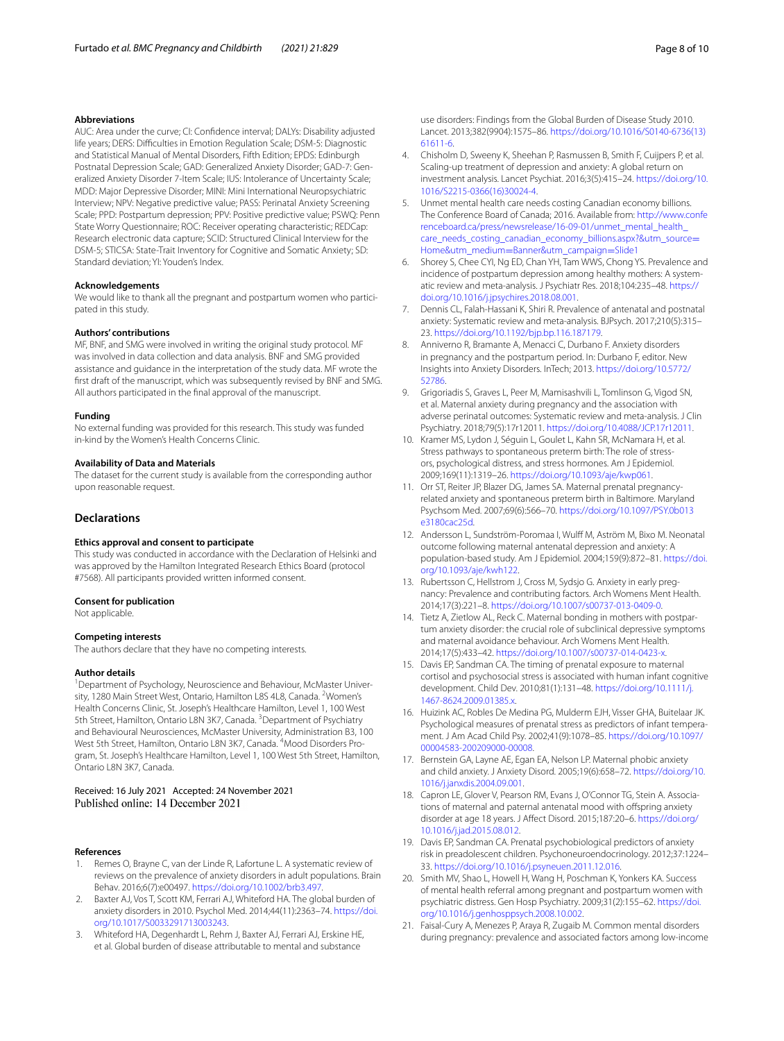#### **Abbreviations**

AUC: Area under the curve; CI: Confdence interval; DALYs: Disability adjusted life years; DERS: Difficulties in Emotion Regulation Scale; DSM-5: Diagnostic and Statistical Manual of Mental Disorders, Fifth Edition; EPDS: Edinburgh Postnatal Depression Scale; GAD: Generalized Anxiety Disorder; GAD-7: Generalized Anxiety Disorder 7-Item Scale; IUS: Intolerance of Uncertainty Scale; MDD: Major Depressive Disorder; MINI: Mini International Neuropsychiatric Interview; NPV: Negative predictive value; PASS: Perinatal Anxiety Screening Scale; PPD: Postpartum depression; PPV: Positive predictive value; PSWQ: Penn State Worry Questionnaire; ROC: Receiver operating characteristic; REDCap: Research electronic data capture; SCID: Structured Clinical Interview for the DSM-5; STICSA: State-Trait Inventory for Cognitive and Somatic Anxiety; SD: Standard deviation; YI: Youden's Index.

#### **Acknowledgements**

We would like to thank all the pregnant and postpartum women who participated in this study.

#### **Authors' contributions**

MF, BNF, and SMG were involved in writing the original study protocol. MF was involved in data collection and data analysis. BNF and SMG provided assistance and guidance in the interpretation of the study data. MF wrote the frst draft of the manuscript, which was subsequently revised by BNF and SMG. All authors participated in the fnal approval of the manuscript.

#### **Funding**

No external funding was provided for this research. This study was funded in-kind by the Women's Health Concerns Clinic.

#### **Availability of Data and Materials**

The dataset for the current study is available from the corresponding author upon reasonable request.

#### **Declarations**

#### **Ethics approval and consent to participate**

This study was conducted in accordance with the Declaration of Helsinki and was approved by the Hamilton Integrated Research Ethics Board (protocol #7568). All participants provided written informed consent.

#### **Consent for publication**

Not applicable.

#### **Competing interests**

The authors declare that they have no competing interests.

#### **Author details**

<sup>1</sup> Department of Psychology, Neuroscience and Behaviour, McMaster University, 1280 Main Street West, Ontario, Hamilton L8S 4L8, Canada. <sup>2</sup>Women's Health Concerns Clinic, St. Joseph's Healthcare Hamilton, Level 1, 100 West 5th Street, Hamilton, Ontario L8N 3K7, Canada. <sup>3</sup> Department of Psychiatry and Behavioural Neurosciences, McMaster University, Administration B3, 100 West 5th Street, Hamilton, Ontario L8N 3K7, Canada. <sup>4</sup>Mood Disorders Program, St. Joseph's Healthcare Hamilton, Level 1, 100 West 5th Street, Hamilton, Ontario L8N 3K7, Canada.

# Received: 16 July 2021 Accepted: 24 November 2021

#### **References**

- <span id="page-7-0"></span>1. Remes O, Brayne C, van der Linde R, Lafortune L. A systematic review of reviews on the prevalence of anxiety disorders in adult populations. Brain Behav. 2016;6(7):e00497.<https://doi.org/10.1002/brb3.497>.
- <span id="page-7-1"></span>2. Baxter AJ, Vos T, Scott KM, Ferrari AJ, Whiteford HA. The global burden of anxiety disorders in 2010. Psychol Med. 2014;44(11):2363–74. [https://doi.](https://doi.org/10.1017/S0033291713003243) [org/10.1017/S0033291713003243](https://doi.org/10.1017/S0033291713003243).
- <span id="page-7-2"></span>3. Whiteford HA, Degenhardt L, Rehm J, Baxter AJ, Ferrari AJ, Erskine HE, et al. Global burden of disease attributable to mental and substance
- <span id="page-7-3"></span>4. Chisholm D, Sweeny K, Sheehan P, Rasmussen B, Smith F, Cuijpers P, et al. Scaling-up treatment of depression and anxiety: A global return on investment analysis. Lancet Psychiat. 2016;3(5):415–24. [https://doi.org/10.](https://doi.org/10.1016/S2215-0366(16)30024-4) [1016/S2215-0366\(16\)30024-4](https://doi.org/10.1016/S2215-0366(16)30024-4).
- <span id="page-7-4"></span>5. Unmet mental health care needs costing Canadian economy billions. The Conference Board of Canada; 2016. Available from: [http://www.confe](http://www.conferenceboard.ca/press/newsrelease/16-09-01/unmet_mental_health_care_needs_costing_canadian_economy_billions.aspx?&utm_source=Home&utm_medium=Banner&utm_campaign=Slide1) [renceboard.ca/press/newsrelease/16-09-01/unmet\\_mental\\_health\\_](http://www.conferenceboard.ca/press/newsrelease/16-09-01/unmet_mental_health_care_needs_costing_canadian_economy_billions.aspx?&utm_source=Home&utm_medium=Banner&utm_campaign=Slide1) [care\\_needs\\_costing\\_canadian\\_economy\\_billions.aspx?&utm\\_source](http://www.conferenceboard.ca/press/newsrelease/16-09-01/unmet_mental_health_care_needs_costing_canadian_economy_billions.aspx?&utm_source=Home&utm_medium=Banner&utm_campaign=Slide1)= Home&utm\_medium=Banner&utm\_campaign=Slide1
- <span id="page-7-5"></span>6. [Shorey S, Chee CYI, Ng ED, Chan YH, Tam WWS, Chong Y](http://www.conferenceboard.ca/press/newsrelease/16-09-01/unmet_mental_health_care_needs_costing_canadian_economy_billions.aspx?&utm_source=Home&utm_medium=Banner&utm_campaign=Slide1)S. Prevalence and incidence of postpartum depression among healthy mothers: A systematic review and meta-analysis. J Psychiatr Res. 2018;104:235–48. [https://](https://doi.org/10.1016/j.jpsychires.2018.08.001) [doi.org/10.1016/j.jpsychires.2018.08.001](https://doi.org/10.1016/j.jpsychires.2018.08.001).
- <span id="page-7-6"></span>7. Dennis CL, Falah-Hassani K, Shiri R. Prevalence of antenatal and postnatal anxiety: Systematic review and meta-analysis. BJPsych. 2017;210(5):315– 23. [https://doi.org/10.1192/bjp.bp.116.187179.](https://doi.org/10.1192/bjp.bp.116.187179)
- <span id="page-7-7"></span>8. Anniverno R, Bramante A, Menacci C, Durbano F. Anxiety disorders in pregnancy and the postpartum period. In: Durbano F, editor. New Insights into Anxiety Disorders. InTech; 2013. [https://doi.org/10.5772/](https://doi.org/10.5772/52786) [52786](https://doi.org/10.5772/52786).
- 9. Grigoriadis S, Graves L, Peer M, Mamisashvili L, Tomlinson G, Vigod SN, et al. Maternal anxiety during pregnancy and the association with adverse perinatal outcomes: Systematic review and meta-analysis. J Clin Psychiatry. 2018;79(5):17r12011.<https://doi.org/10.4088/JCP.17r12011>.
- 10. Kramer MS, Lydon J, Séguin L, Goulet L, Kahn SR, McNamara H, et al. Stress pathways to spontaneous preterm birth: The role of stressors, psychological distress, and stress hormones. Am J Epidemiol. 2009;169(11):1319–26. [https://doi.org/10.1093/aje/kwp061.](https://doi.org/10.1093/aje/kwp061)
- <span id="page-7-8"></span>11. Orr ST, Reiter JP, Blazer DG, James SA. Maternal prenatal pregnancyrelated anxiety and spontaneous preterm birth in Baltimore. Maryland Psychsom Med. 2007;69(6):566–70. [https://doi.org/10.1097/PSY.0b013](https://doi.org/10.1097/PSY.0b013e3180cac25d) [e3180cac25d](https://doi.org/10.1097/PSY.0b013e3180cac25d).
- <span id="page-7-9"></span>12. Andersson L, Sundström-Poromaa I, Wulff M, Aström M, Bixo M. Neonatal outcome following maternal antenatal depression and anxiety: A population-based study. Am J Epidemiol. 2004;159(9):872–81. [https://doi.](https://doi.org/10.1093/aje/kwh122) [org/10.1093/aje/kwh122](https://doi.org/10.1093/aje/kwh122).
- <span id="page-7-10"></span>13. Rubertsson C, Hellstrom J, Cross M, Sydsjo G. Anxiety in early pregnancy: Prevalence and contributing factors. Arch Womens Ment Health. 2014;17(3):221–8.<https://doi.org/10.1007/s00737-013-0409-0>.
- <span id="page-7-11"></span>14. Tietz A, Zietlow AL, Reck C. Maternal bonding in mothers with postpartum anxiety disorder: the crucial role of subclinical depressive symptoms and maternal avoidance behaviour. Arch Womens Ment Health. 2014;17(5):433–42. <https://doi.org/10.1007/s00737-014-0423-x>.
- <span id="page-7-12"></span>15. Davis EP, Sandman CA. The timing of prenatal exposure to maternal cortisol and psychosocial stress is associated with human infant cognitive development. Child Dev. 2010;81(1):131–48. [https://doi.org/10.1111/j.](https://doi.org/10.1111/j.1467-8624.2009.01385.x) [1467-8624.2009.01385.x](https://doi.org/10.1111/j.1467-8624.2009.01385.x).
- <span id="page-7-13"></span>16. Huizink AC, Robles De Medina PG, Mulderm EJH, Visser GHA, Buitelaar JK. Psychological measures of prenatal stress as predictors of infant temperament. J Am Acad Child Psy. 2002;41(9):1078–85. [https://doi.org/10.1097/](https://doi.org/10.1097/00004583-200209000-00008) [00004583-200209000-00008.](https://doi.org/10.1097/00004583-200209000-00008)
- <span id="page-7-14"></span>17. Bernstein GA, Layne AE, Egan EA, Nelson LP. Maternal phobic anxiety and child anxiety. J Anxiety Disord. 2005;19(6):658–72. [https://doi.org/10.](https://doi.org/10.1016/j.janxdis.2004.09.001) [1016/j.janxdis.2004.09.001](https://doi.org/10.1016/j.janxdis.2004.09.001).
- 18. Capron LE, Glover V, Pearson RM, Evans J, O'Connor TG, Stein A. Associations of maternal and paternal antenatal mood with offspring anxiety disorder at age 18 years. J Afect Disord. 2015;187:20–6. [https://doi.org/](https://doi.org/10.1016/j.jad.2015.08.012) [10.1016/j.jad.2015.08.012](https://doi.org/10.1016/j.jad.2015.08.012).
- <span id="page-7-15"></span>19. Davis EP, Sandman CA. Prenatal psychobiological predictors of anxiety risk in preadolescent children. Psychoneuroendocrinology. 2012;37:1224– 33. <https://doi.org/10.1016/j.psyneuen.2011.12.016>.
- <span id="page-7-16"></span>20. Smith MV, Shao L, Howell H, Wang H, Poschman K, Yonkers KA. Success of mental health referral among pregnant and postpartum women with psychiatric distress. Gen Hosp Psychiatry. 2009;31(2):155–62. [https://doi.](https://doi.org/10.1016/j.genhosppsych.2008.10.002) [org/10.1016/j.genhosppsych.2008.10.002](https://doi.org/10.1016/j.genhosppsych.2008.10.002).
- <span id="page-7-17"></span>21. Faisal-Cury A, Menezes P, Araya R, Zugaib M. Common mental disorders during pregnancy: prevalence and associated factors among low-income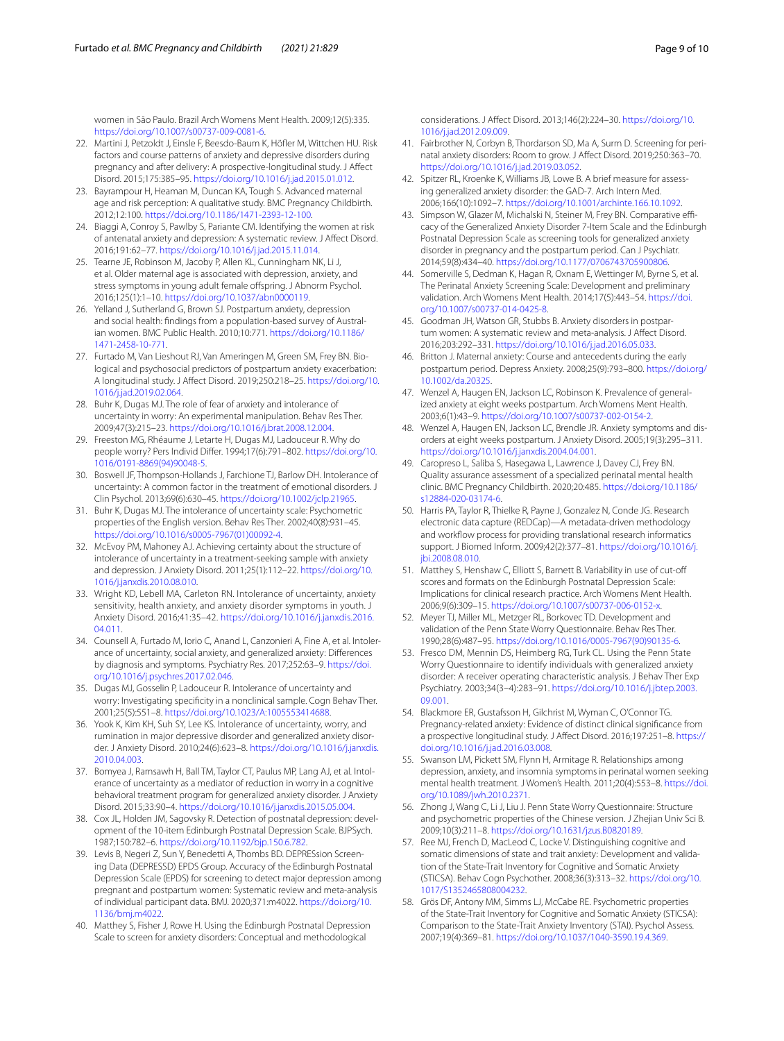women in São Paulo. Brazil Arch Womens Ment Health. 2009;12(5):335. [https://doi.org/10.1007/s00737-009-0081-6.](https://doi.org/10.1007/s00737-009-0081-6)

- <span id="page-8-0"></span>22. Martini J, Petzoldt J, Einsle F, Beesdo-Baum K, Höfer M, Wittchen HU. Risk factors and course patterns of anxiety and depressive disorders during pregnancy and after delivery: A prospective-longitudinal study. J Afect Disord. 2015;175:385–95. [https://doi.org/10.1016/j.jad.2015.01.012.](https://doi.org/10.1016/j.jad.2015.01.012)
- <span id="page-8-1"></span>23. Bayrampour H, Heaman M, Duncan KA, Tough S. Advanced maternal age and risk perception: A qualitative study. BMC Pregnancy Childbirth. 2012;12:100.<https://doi.org/10.1186/1471-2393-12-100>.
- 24. Biaggi A, Conroy S, Pawlby S, Pariante CM. Identifying the women at risk of antenatal anxiety and depression: A systematic review. J Afect Disord. 2016;191:62–77. [https://doi.org/10.1016/j.jad.2015.11.014.](https://doi.org/10.1016/j.jad.2015.11.014)
- 25. Tearne JE, Robinson M, Jacoby P, Allen KL, Cunningham NK, Li J, et al. Older maternal age is associated with depression, anxiety, and stress symptoms in young adult female ofspring. J Abnorm Psychol. 2016;125(1):1–10.<https://doi.org/10.1037/abn0000119>.
- <span id="page-8-2"></span>26. Yelland J, Sutherland G, Brown SJ. Postpartum anxiety, depression and social health: fndings from a population-based survey of Australian women. BMC Public Health. 2010;10:771. [https://doi.org/10.1186/](https://doi.org/10.1186/1471-2458-10-771) [1471-2458-10-771.](https://doi.org/10.1186/1471-2458-10-771)
- <span id="page-8-3"></span>27. Furtado M, Van Lieshout RJ, Van Ameringen M, Green SM, Frey BN. Biological and psychosocial predictors of postpartum anxiety exacerbation: A longitudinal study. J Afect Disord. 2019;250:218–25. [https://doi.org/10.](https://doi.org/10.1016/j.jad.2019.02.064) [1016/j.jad.2019.02.064.](https://doi.org/10.1016/j.jad.2019.02.064)
- <span id="page-8-4"></span>28. Buhr K, Dugas MJ. The role of fear of anxiety and intolerance of uncertainty in worry: An experimental manipulation. Behav Res Ther. 2009;47(3):215–23. <https://doi.org/10.1016/j.brat.2008.12.004>.
- <span id="page-8-5"></span>29. Freeston MG, Rhéaume J, Letarte H, Dugas MJ, Ladouceur R. Why do people worry? Pers Individ Difer. 1994;17(6):791–802. [https://doi.org/10.](https://doi.org/10.1016/0191-8869(94)90048-5) [1016/0191-8869\(94\)90048-5.](https://doi.org/10.1016/0191-8869(94)90048-5)
- <span id="page-8-6"></span>30. Boswell JF, Thompson-Hollands J, Farchione TJ, Barlow DH. Intolerance of uncertainty: A common factor in the treatment of emotional disorders. J Clin Psychol. 2013;69(6):630–45.<https://doi.org/10.1002/jclp.21965>.
- <span id="page-8-23"></span>31. Buhr K, Dugas MJ. The intolerance of uncertainty scale: Psychometric properties of the English version. Behav Res Ther. 2002;40(8):931–45. [https://doi.org/10.1016/s0005-7967\(01\)00092-4](https://doi.org/10.1016/s0005-7967(01)00092-4).
- 32. McEvoy PM, Mahoney AJ. Achieving certainty about the structure of intolerance of uncertainty in a treatment-seeking sample with anxiety and depression. J Anxiety Disord. 2011;25(1):112–22. [https://doi.org/10.](https://doi.org/10.1016/j.janxdis.2010.08.010) [1016/j.janxdis.2010.08.010](https://doi.org/10.1016/j.janxdis.2010.08.010).
- <span id="page-8-7"></span>33. Wright KD, Lebell MA, Carleton RN. Intolerance of uncertainty, anxiety sensitivity, health anxiety, and anxiety disorder symptoms in youth. J Anxiety Disord. 2016;41:35–42. [https://doi.org/10.1016/j.janxdis.2016.](https://doi.org/10.1016/j.janxdis.2016.04.011) [04.011.](https://doi.org/10.1016/j.janxdis.2016.04.011)
- <span id="page-8-8"></span>34. Counsell A, Furtado M, Iorio C, Anand L, Canzonieri A, Fine A, et al. Intolerance of uncertainty, social anxiety, and generalized anxiety: Diferences by diagnosis and symptoms. Psychiatry Res. 2017;252:63–9. [https://doi.](https://doi.org/10.1016/j.psychres.2017.02.046) [org/10.1016/j.psychres.2017.02.046](https://doi.org/10.1016/j.psychres.2017.02.046).
- 35. Dugas MJ, Gosselin P, Ladouceur R. Intolerance of uncertainty and worry: Investigating specifcity in a nonclinical sample. Cogn Behav Ther. 2001;25(5):551–8.<https://doi.org/10.1023/A:1005553414688>.
- <span id="page-8-9"></span>36. Yook K, Kim KH, Suh SY, Lee KS. Intolerance of uncertainty, worry, and rumination in major depressive disorder and generalized anxiety disorder. J Anxiety Disord. 2010;24(6):623–8. [https://doi.org/10.1016/j.janxdis.](https://doi.org/10.1016/j.janxdis.2010.04.003) [2010.04.003.](https://doi.org/10.1016/j.janxdis.2010.04.003)
- <span id="page-8-10"></span>37. Bomyea J, Ramsawh H, Ball TM, Taylor CT, Paulus MP, Lang AJ, et al. Intolerance of uncertainty as a mediator of reduction in worry in a cognitive behavioral treatment program for generalized anxiety disorder. J Anxiety Disord. 2015;33:90–4.<https://doi.org/10.1016/j.janxdis.2015.05.004>.
- <span id="page-8-11"></span>38. Cox JL, Holden JM, Sagovsky R. Detection of postnatal depression: development of the 10-item Edinburgh Postnatal Depression Scale. BJPSych. 1987;150:782–6.<https://doi.org/10.1192/bjp.150.6.782>.
- <span id="page-8-12"></span>39. Levis B, Negeri Z, Sun Y, Benedetti A, Thombs BD. DEPRESsion Screening Data (DEPRESSD) EPDS Group. Accuracy of the Edinburgh Postnatal Depression Scale (EPDS) for screening to detect major depression among pregnant and postpartum women: Systematic review and meta-analysis of individual participant data. BMJ. 2020;371:m4022. [https://doi.org/10.](https://doi.org/10.1136/bmj.m4022) [1136/bmj.m4022.](https://doi.org/10.1136/bmj.m4022)
- <span id="page-8-13"></span>40. Matthey S, Fisher J, Rowe H. Using the Edinburgh Postnatal Depression Scale to screen for anxiety disorders: Conceptual and methodological

considerations. J Afect Disord. 2013;146(2):224–30. [https://doi.org/10.](https://doi.org/10.1016/j.jad.2012.09.009) [1016/j.jad.2012.09.009.](https://doi.org/10.1016/j.jad.2012.09.009)

- <span id="page-8-14"></span>41. Fairbrother N, Corbyn B, Thordarson SD, Ma A, Surm D. Screening for perinatal anxiety disorders: Room to grow. J Afect Disord. 2019;250:363–70. <https://doi.org/10.1016/j.jad.2019.03.052>.
- <span id="page-8-15"></span>42. Spitzer RL, Kroenke K, Williams JB, Lowe B. A brief measure for assessing generalized anxiety disorder: the GAD-7. Arch Intern Med. 2006;166(10):1092–7.<https://doi.org/10.1001/archinte.166.10.1092>.
- <span id="page-8-16"></span>43. Simpson W, Glazer M, Michalski N, Steiner M, Frey BN. Comparative efficacy of the Generalized Anxiety Disorder 7-Item Scale and the Edinburgh Postnatal Depression Scale as screening tools for generalized anxiety disorder in pregnancy and the postpartum period. Can J Psychiatr. 2014;59(8):434–40. <https://doi.org/10.1177/0706743705900806>.
- <span id="page-8-17"></span>44. Somerville S, Dedman K, Hagan R, Oxnam E, Wettinger M, Byrne S, et al. The Perinatal Anxiety Screening Scale: Development and preliminary validation. Arch Womens Ment Health. 2014;17(5):443–54. [https://doi.](https://doi.org/10.1007/s00737-014-0425-8) [org/10.1007/s00737-014-0425-8.](https://doi.org/10.1007/s00737-014-0425-8)
- <span id="page-8-18"></span>45. Goodman JH, Watson GR, Stubbs B. Anxiety disorders in postpartum women: A systematic review and meta-analysis. J Afect Disord. 2016;203:292–331. <https://doi.org/10.1016/j.jad.2016.05.033>.
- <span id="page-8-19"></span>46. Britton J. Maternal anxiety: Course and antecedents during the early postpartum period. Depress Anxiety. 2008;25(9):793–800. [https://doi.org/](https://doi.org/10.1002/da.20325) [10.1002/da.20325.](https://doi.org/10.1002/da.20325)
- 47. Wenzel A, Haugen EN, Jackson LC, Robinson K. Prevalence of generalized anxiety at eight weeks postpartum. Arch Womens Ment Health. 2003;6(1):43–9. [https://doi.org/10.1007/s00737-002-0154-2.](https://doi.org/10.1007/s00737-002-0154-2)
- <span id="page-8-20"></span>48. Wenzel A, Haugen EN, Jackson LC, Brendle JR. Anxiety symptoms and disorders at eight weeks postpartum. J Anxiety Disord. 2005;19(3):295–311. [https://doi.org/10.1016/j.janxdis.2004.04.001.](https://doi.org/10.1016/j.janxdis.2004.04.001)
- <span id="page-8-21"></span>49. Caropreso L, Saliba S, Hasegawa L, Lawrence J, Davey CJ, Frey BN. Quality assurance assessment of a specialized perinatal mental health clinic. BMC Pregnancy Childbirth. 2020;20:485. [https://doi.org/10.1186/](https://doi.org/10.1186/s12884-020-03174-6) [s12884-020-03174-6](https://doi.org/10.1186/s12884-020-03174-6).
- <span id="page-8-22"></span>50. Harris PA, Taylor R, Thielke R, Payne J, Gonzalez N, Conde JG. Research electronic data capture (REDCap)—A metadata-driven methodology and workflow process for providing translational research informatics support. J Biomed Inform. 2009;42(2):377–81. [https://doi.org/10.1016/j.](https://doi.org/10.1016/j.jbi.2008.08.010) [jbi.2008.08.010.](https://doi.org/10.1016/j.jbi.2008.08.010)
- <span id="page-8-24"></span>51. Matthey S, Henshaw C, Elliott S, Barnett B. Variability in use of cut-of scores and formats on the Edinburgh Postnatal Depression Scale: Implications for clinical research practice. Arch Womens Ment Health. 2006;9(6):309–15. [https://doi.org/10.1007/s00737-006-0152-x.](https://doi.org/10.1007/s00737-006-0152-x)
- <span id="page-8-25"></span>52. Meyer TJ, Miller ML, Metzger RL, Borkovec TD. Development and validation of the Penn State Worry Questionnaire. Behav Res Ther. 1990;28(6):487–95. [https://doi.org/10.1016/0005-7967\(90\)90135-6.](https://doi.org/10.1016/0005-7967(90)90135-6)
- <span id="page-8-26"></span>53. Fresco DM, Mennin DS, Heimberg RG, Turk CL. Using the Penn State Worry Questionnaire to identify individuals with generalized anxiety disorder: A receiver operating characteristic analysis. J Behav Ther Exp Psychiatry. 2003;34(3–4):283–91. [https://doi.org/10.1016/j.jbtep.2003.](https://doi.org/10.1016/j.jbtep.2003.09.001) [09.001.](https://doi.org/10.1016/j.jbtep.2003.09.001)
- <span id="page-8-27"></span>54. Blackmore ER, Gustafsson H, Gilchrist M, Wyman C, O'Connor TG. Pregnancy-related anxiety: Evidence of distinct clinical signifcance from a prospective longitudinal study. J Afect Disord. 2016;197:251–8. [https://](https://doi.org/10.1016/j.jad.2016.03.008) [doi.org/10.1016/j.jad.2016.03.008](https://doi.org/10.1016/j.jad.2016.03.008).
- 55. Swanson LM, Pickett SM, Flynn H, Armitage R. Relationships among depression, anxiety, and insomnia symptoms in perinatal women seeking mental health treatment. J Women's Health. 2011;20(4):553–8. [https://doi.](https://doi.org/10.1089/jwh.2010.2371) [org/10.1089/jwh.2010.2371](https://doi.org/10.1089/jwh.2010.2371).
- <span id="page-8-28"></span>56. Zhong J, Wang C, Li J, Liu J. Penn State Worry Questionnaire: Structure and psychometric properties of the Chinese version. J Zhejian Univ Sci B. 2009;10(3):211–8.<https://doi.org/10.1631/jzus.B0820189>.
- <span id="page-8-29"></span>57. Ree MJ, French D, MacLeod C, Locke V. Distinguishing cognitive and somatic dimensions of state and trait anxiety: Development and validation of the State-Trait Inventory for Cognitive and Somatic Anxiety (STICSA). Behav Cogn Psychother. 2008;36(3):313–32. [https://doi.org/10.](https://doi.org/10.1017/S1352465808004232) [1017/S1352465808004232](https://doi.org/10.1017/S1352465808004232).
- <span id="page-8-30"></span>58. Grös DF, Antony MM, Simms LJ, McCabe RE. Psychometric properties of the State-Trait Inventory for Cognitive and Somatic Anxiety (STICSA): Comparison to the State-Trait Anxiety Inventory (STAI). Psychol Assess. 2007;19(4):369–81. <https://doi.org/10.1037/1040-3590.19.4.369>.